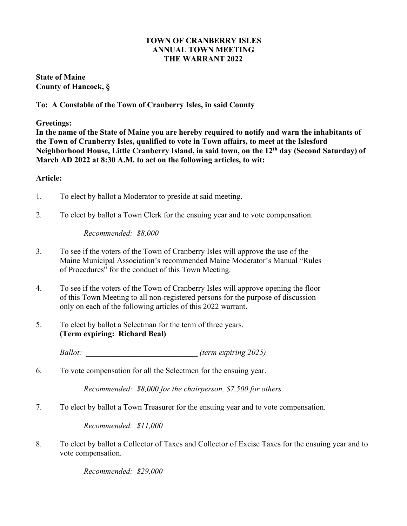### **TOWN OF CRANBERRY ISLES ANNUAL TOWN MEETING THE WARRANT 2022**

**State of Maine County of Hancock, §**

# **To: A Constable of the Town of Cranberry Isles, in said County**

**Greetings:**

**In the name of the State of Maine you are hereby required to notify and warn the inhabitants of the Town of Cranberry Isles, qualified to vote in Town affairs, to meet at the Islesford Neighborhood House, Little Cranberry Island, in said town, on the 12th day (Second Saturday) of March AD 2022 at 8:30 A.M. to act on the following articles, to wit:**

# **Article:**

- 1. To elect by ballot a Moderator to preside at said meeting.
- 2. To elect by ballot a Town Clerk for the ensuing year and to vote compensation.

*Recommended: \$8,000*

- 3. To see if the voters of the Town of Cranberry Isles will approve the use of the Maine Municipal Association's recommended Maine Moderator's Manual "Rules of Procedures" for the conduct of this Town Meeting.
- 4. To see if the voters of the Town of Cranberry Isles will approve opening the floor of this Town Meeting to all non-registered persons for the purpose of discussion only on each of the following articles of this 2022 warrant.
- 5. To elect by ballot a Selectman for the term of three years. **(Term expiring: Richard Beal)**

*Ballot: \_\_\_\_\_\_\_\_\_\_\_\_\_\_\_\_\_\_\_\_\_\_\_\_\_\_\_\_ (term expiring 2025)*

6. To vote compensation for all the Selectmen for the ensuing year.

*Recommended: \$8,000 for the chairperson, \$7,500 for others.*

7. To elect by ballot a Town Treasurer for the ensuing year and to vote compensation.

*Recommended: \$11,000*

8. To elect by ballot a Collector of Taxes and Collector of Excise Taxes for the ensuing year and to vote compensation.

*Recommended: \$29,000*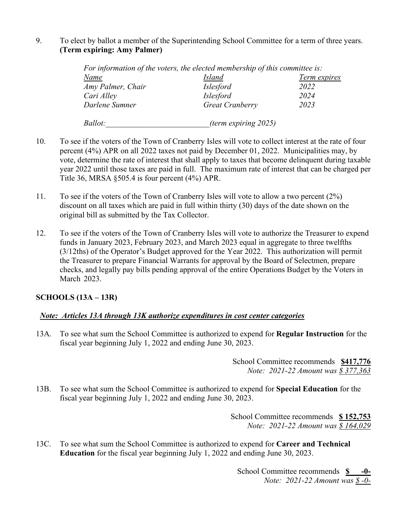# 9. To elect by ballot a member of the Superintending School Committee for a term of three years. **(Term expiring: Amy Palmer)**

|                   | For information of the voters, the elected membership of this committee is: |              |
|-------------------|-----------------------------------------------------------------------------|--------------|
| Name              | <b>Island</b>                                                               | Term expires |
| Amy Palmer, Chair | <i>Islesford</i>                                                            | 2022         |
| Cari Alley        | <i>Islesford</i>                                                            | 2024         |
| Darlene Sumner    | <b>Great Cranberry</b>                                                      | 2023         |
| <i>Ballot:</i>    | (term expiring 2025)                                                        |              |

- 10. To see if the voters of the Town of Cranberry Isles will vote to collect interest at the rate of four percent (4%) APR on all 2022 taxes not paid by December 01, 2022. Municipalities may, by vote, determine the rate of interest that shall apply to taxes that become delinquent during taxable year 2022 until those taxes are paid in full. The maximum rate of interest that can be charged per Title 36, MRSA §505.4 is four percent (4%) APR.
- 11. To see if the voters of the Town of Cranberry Isles will vote to allow a two percent (2%) discount on all taxes which are paid in full within thirty (30) days of the date shown on the original bill as submitted by the Tax Collector.
- 12. To see if the voters of the Town of Cranberry Isles will vote to authorize the Treasurer to expend funds in January 2023, February 2023, and March 2023 equal in aggregate to three twelfths (3/12ths) of the Operator's Budget approved for the Year 2022. This authorization will permit the Treasurer to prepare Financial Warrants for approval by the Board of Selectmen, prepare checks, and legally pay bills pending approval of the entire Operations Budget by the Voters in March 2023.

# **SCHOOLS (13A – 13R)**

# *Note: Articles 13A through 13K authorize expenditures in cost center categories*

13A. To see what sum the School Committee is authorized to expend for **Regular Instruction** for the fiscal year beginning July 1, 2022 and ending June 30, 2023.

> School Committee recommends **\$417,776** *Note: 2021-22 Amount was \$ 377,363*

13B. To see what sum the School Committee is authorized to expend for **Special Education** for the fiscal year beginning July 1, 2022 and ending June 30, 2023.

> School Committee recommends **\$ 152,753** *Note: 2021-22 Amount was \$ 164,029*

13C. To see what sum the School Committee is authorized to expend for **Career and Technical Education** for the fiscal year beginning July 1, 2022 and ending June 30, 2023.

> School Committee recommends **\$ -0-** *Note: 2021-22 Amount was \$ -0-*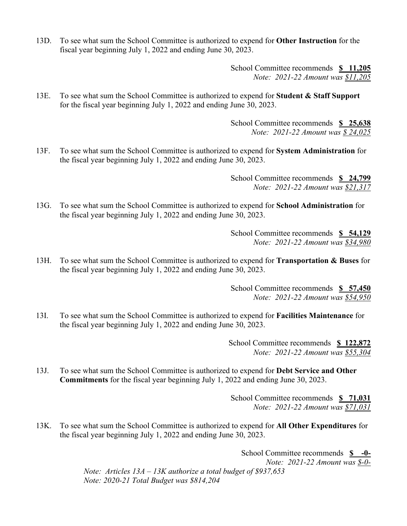13D. To see what sum the School Committee is authorized to expend for **Other Instruction** for the fiscal year beginning July 1, 2022 and ending June 30, 2023.

> School Committee recommends **\$ 11,205** *Note: 2021-22 Amount was \$11,205*

13E. To see what sum the School Committee is authorized to expend for **Student & Staff Support** for the fiscal year beginning July 1, 2022 and ending June 30, 2023.

> School Committee recommends **\$ 25,638** *Note: 2021-22 Amount was \$ 24,025*

13F. To see what sum the School Committee is authorized to expend for **System Administration** for the fiscal year beginning July 1, 2022 and ending June 30, 2023.

> School Committee recommends **\$ 24,799** *Note: 2021-22 Amount was \$21,317*

13G. To see what sum the School Committee is authorized to expend for **School Administration** for the fiscal year beginning July 1, 2022 and ending June 30, 2023.

> School Committee recommends **\$ 54,129** *Note: 2021-22 Amount was \$34,980*

13H. To see what sum the School Committee is authorized to expend for **Transportation & Buses** for the fiscal year beginning July 1, 2022 and ending June 30, 2023.

> School Committee recommends **\$ 57,450** *Note: 2021-22 Amount was \$54,950*

13I. To see what sum the School Committee is authorized to expend for **Facilities Maintenance** for the fiscal year beginning July 1, 2022 and ending June 30, 2023.

> School Committee recommends **\$ 122,872** *Note: 2021-22 Amount was \$55,304*

13J. To see what sum the School Committee is authorized to expend for **Debt Service and Other Commitments** for the fiscal year beginning July 1, 2022 and ending June 30, 2023.

> School Committee recommends **\$ 71,031** *Note: 2021-22 Amount was \$71,031*

13K. To see what sum the School Committee is authorized to expend for **All Other Expenditures** for the fiscal year beginning July 1, 2022 and ending June 30, 2023.

> School Committee recommends **\$ -0-** *Note: 2021-22 Amount was \$-0- Note: Articles 13A – 13K authorize a total budget of \$937,653 Note: 2020-21 Total Budget was \$814,204*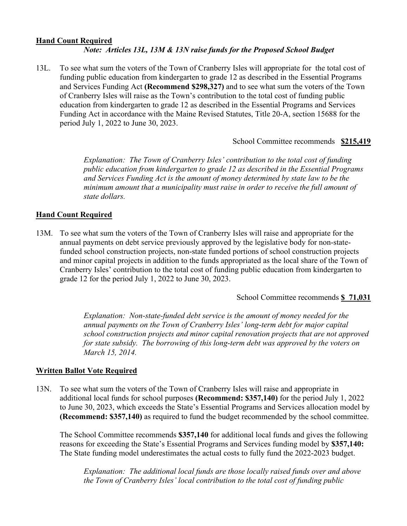### **Hand Count Required** *Note: Articles 13L, 13M & 13N raise funds for the Proposed School Budget*

13L. To see what sum the voters of the Town of Cranberry Isles will appropriate for the total cost of funding public education from kindergarten to grade 12 as described in the Essential Programs and Services Funding Act **(Recommend \$298,327)** and to see what sum the voters of the Town of Cranberry Isles will raise as the Town's contribution to the total cost of funding public education from kindergarten to grade 12 as described in the Essential Programs and Services Funding Act in accordance with the Maine Revised Statutes, Title 20-A, section 15688 for the period July 1, 2022 to June 30, 2023.

School Committee recommends **\$215,419**

*Explanation: The Town of Cranberry Isles' contribution to the total cost of funding public education from kindergarten to grade 12 as described in the Essential Programs and Services Funding Act is the amount of money determined by state law to be the minimum amount that a municipality must raise in order to receive the full amount of state dollars.*

# **Hand Count Required**

13M. To see what sum the voters of the Town of Cranberry Isles will raise and appropriate for the annual payments on debt service previously approved by the legislative body for non-statefunded school construction projects, non-state funded portions of school construction projects and minor capital projects in addition to the funds appropriated as the local share of the Town of Cranberry Isles' contribution to the total cost of funding public education from kindergarten to grade 12 for the period July 1, 2022 to June 30, 2023.

School Committee recommends **\$ 71,031**

*Explanation: Non-state-funded debt service is the amount of money needed for the annual payments on the Town of Cranberry Isles' long-term debt for major capital school construction projects and minor capital renovation projects that are not approved for state subsidy. The borrowing of this long-term debt was approved by the voters on March 15, 2014.*

# **Written Ballot Vote Required**

13N. To see what sum the voters of the Town of Cranberry Isles will raise and appropriate in additional local funds for school purposes **(Recommend: \$357,140)** for the period July 1, 2022 to June 30, 2023, which exceeds the State's Essential Programs and Services allocation model by **(Recommend: \$357,140)** as required to fund the budget recommended by the school committee.

The School Committee recommends **\$357,140** for additional local funds and gives the following reasons for exceeding the State's Essential Programs and Services funding model by **\$357,140:** The State funding model underestimates the actual costs to fully fund the 2022-2023 budget.

*Explanation: The additional local funds are those locally raised funds over and above the Town of Cranberry Isles' local contribution to the total cost of funding public*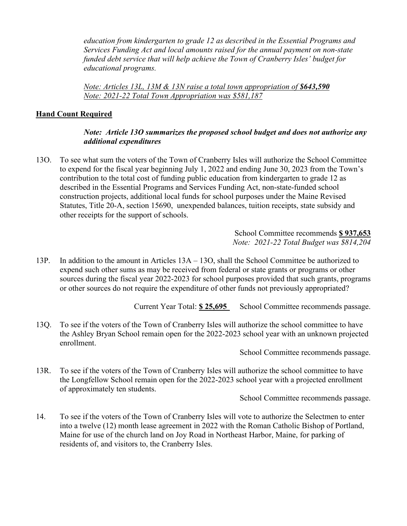*education from kindergarten to grade 12 as described in the Essential Programs and Services Funding Act and local amounts raised for the annual payment on non-state funded debt service that will help achieve the Town of Cranberry Isles' budget for educational programs.*

*Note: Articles 13L, 13M & 13N raise a total town appropriation of \$643,590 Note: 2021-22 Total Town Appropriation was \$581,187*

# **Hand Count Required**

# *Note: Article 13O summarizes the proposed school budget and does not authorize any additional expenditures*

13O. To see what sum the voters of the Town of Cranberry Isles will authorize the School Committee to expend for the fiscal year beginning July 1, 2022 and ending June 30, 2023 from the Town's contribution to the total cost of funding public education from kindergarten to grade 12 as described in the Essential Programs and Services Funding Act, non-state-funded school construction projects, additional local funds for school purposes under the Maine Revised Statutes, Title 20-A, section 15690, unexpended balances, tuition receipts, state subsidy and other receipts for the support of schools.

> School Committee recommends **\$ 937,653** *Note: 2021-22 Total Budget was \$814,204*

13P. In addition to the amount in Articles 13A – 13O, shall the School Committee be authorized to expend such other sums as may be received from federal or state grants or programs or other sources during the fiscal year 2022-2023 for school purposes provided that such grants, programs or other sources do not require the expenditure of other funds not previously appropriated?

Current Year Total: **\$ 25,695** School Committee recommends passage.

13Q. To see if the voters of the Town of Cranberry Isles will authorize the school committee to have the Ashley Bryan School remain open for the 2022-2023 school year with an unknown projected enrollment.

School Committee recommends passage.

13R. To see if the voters of the Town of Cranberry Isles will authorize the school committee to have the Longfellow School remain open for the 2022-2023 school year with a projected enrollment of approximately ten students.

School Committee recommends passage.

14. To see if the voters of the Town of Cranberry Isles will vote to authorize the Selectmen to enter into a twelve (12) month lease agreement in 2022 with the Roman Catholic Bishop of Portland, Maine for use of the church land on Joy Road in Northeast Harbor, Maine, for parking of residents of, and visitors to, the Cranberry Isles.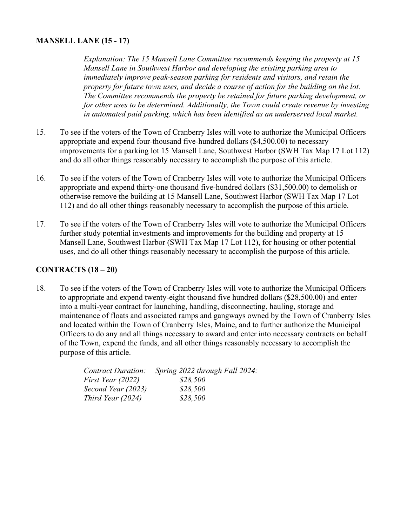# **MANSELL LANE (15 - 17)**

*Explanation: The 15 Mansell Lane Committee recommends keeping the property at 15 Mansell Lane in Southwest Harbor and developing the existing parking area to immediately improve peak-season parking for residents and visitors, and retain the property for future town uses, and decide a course of action for the building on the lot. The Committee recommends the property be retained for future parking development, or for other uses to be determined. Additionally, the Town could create revenue by investing in automated paid parking, which has been identified as an underserved local market.*

- 15. To see if the voters of the Town of Cranberry Isles will vote to authorize the Municipal Officers appropriate and expend four-thousand five-hundred dollars (\$4,500.00) to necessary improvements for a parking lot 15 Mansell Lane, Southwest Harbor (SWH Tax Map 17 Lot 112) and do all other things reasonably necessary to accomplish the purpose of this article.
- 16. To see if the voters of the Town of Cranberry Isles will vote to authorize the Municipal Officers appropriate and expend thirty-one thousand five-hundred dollars (\$31,500.00) to demolish or otherwise remove the building at 15 Mansell Lane, Southwest Harbor (SWH Tax Map 17 Lot 112) and do all other things reasonably necessary to accomplish the purpose of this article.
- 17. To see if the voters of the Town of Cranberry Isles will vote to authorize the Municipal Officers further study potential investments and improvements for the building and property at 15 Mansell Lane, Southwest Harbor (SWH Tax Map 17 Lot 112), for housing or other potential uses, and do all other things reasonably necessary to accomplish the purpose of this article.

### **CONTRACTS (18 – 20)**

18. To see if the voters of the Town of Cranberry Isles will vote to authorize the Municipal Officers to appropriate and expend twenty-eight thousand five hundred dollars (\$28,500.00) and enter into a multi-year contract for launching, handling, disconnecting, hauling, storage and maintenance of floats and associated ramps and gangways owned by the Town of Cranberry Isles and located within the Town of Cranberry Isles, Maine, and to further authorize the Municipal Officers to do any and all things necessary to award and enter into necessary contracts on behalf of the Town, expend the funds, and all other things reasonably necessary to accomplish the purpose of this article.

| Contract Duration: | Spring 2022 through Fall 2024: |
|--------------------|--------------------------------|
| First Year (2022)  | \$28,500                       |
| Second Year (2023) | \$28,500                       |
| Third Year (2024)  | \$28,500                       |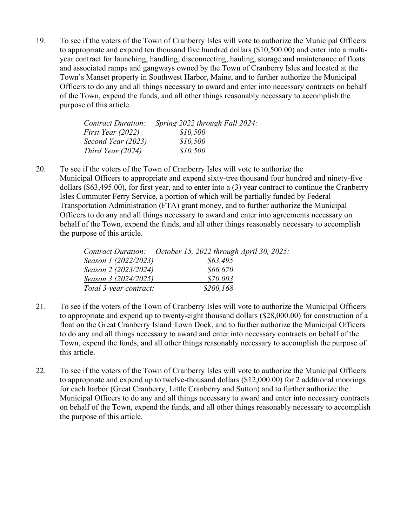19. To see if the voters of the Town of Cranberry Isles will vote to authorize the Municipal Officers to appropriate and expend ten thousand five hundred dollars (\$10,500.00) and enter into a multiyear contract for launching, handling, disconnecting, hauling, storage and maintenance of floats and associated ramps and gangways owned by the Town of Cranberry Isles and located at the Town's Manset property in Southwest Harbor, Maine, and to further authorize the Municipal Officers to do any and all things necessary to award and enter into necessary contracts on behalf of the Town, expend the funds, and all other things reasonably necessary to accomplish the purpose of this article.

| <b>Contract Duration:</b> | Spring 2022 through Fall 2024: |
|---------------------------|--------------------------------|
| First Year (2022)         | \$10,500                       |
| Second Year (2023)        | \$10,500                       |
| Third Year (2024)         | \$10,500                       |

20. To see if the voters of the Town of Cranberry Isles will vote to authorize the Municipal Officers to appropriate and expend sixty-tree thousand four hundred and ninety-five dollars (\$63,495.00), for first year, and to enter into a (3) year contract to continue the Cranberry Isles Commuter Ferry Service, a portion of which will be partially funded by Federal Transportation Administration (FTA) grant money, and to further authorize the Municipal Officers to do any and all things necessary to award and enter into agreements necessary on behalf of the Town, expend the funds, and all other things reasonably necessary to accomplish the purpose of this article.

|                        | Contract Duration: October 15, 2022 through April 30, 2025: |
|------------------------|-------------------------------------------------------------|
| Season 1 (2022/2023)   | \$63,495                                                    |
| Season 2 (2023/2024)   | \$66,670                                                    |
| Season 3 (2024/2025)   | \$70,003                                                    |
| Total 3-year contract: | \$200,168                                                   |

- 21. To see if the voters of the Town of Cranberry Isles will vote to authorize the Municipal Officers to appropriate and expend up to twenty-eight thousand dollars (\$28,000.00) for construction of a float on the Great Cranberry Island Town Dock, and to further authorize the Municipal Officers to do any and all things necessary to award and enter into necessary contracts on behalf of the Town, expend the funds, and all other things reasonably necessary to accomplish the purpose of this article.
- 22. To see if the voters of the Town of Cranberry Isles will vote to authorize the Municipal Officers to appropriate and expend up to twelve-thousand dollars (\$12,000.00) for 2 additional moorings for each harbor (Great Cranberry, Little Cranberry and Sutton) and to further authorize the Municipal Officers to do any and all things necessary to award and enter into necessary contracts on behalf of the Town, expend the funds, and all other things reasonably necessary to accomplish the purpose of this article.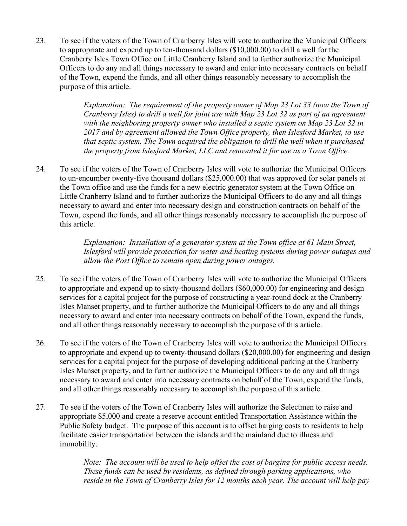23. To see if the voters of the Town of Cranberry Isles will vote to authorize the Municipal Officers to appropriate and expend up to ten-thousand dollars (\$10,000.00) to drill a well for the Cranberry Isles Town Office on Little Cranberry Island and to further authorize the Municipal Officers to do any and all things necessary to award and enter into necessary contracts on behalf of the Town, expend the funds, and all other things reasonably necessary to accomplish the purpose of this article.

> *Explanation: The requirement of the property owner of Map 23 Lot 33 (now the Town of Cranberry Isles) to drill a well for joint use with Map 23 Lot 32 as part of an agreement with the neighboring property owner who installed a septic system on Map 23 Lot 32 in 2017 and by agreement allowed the Town Office property, then Islesford Market, to use that septic system. The Town acquired the obligation to drill the well when it purchased the property from Islesford Market, LLC and renovated it for use as a Town Office.*

24. To see if the voters of the Town of Cranberry Isles will vote to authorize the Municipal Officers to un-encumber twenty-five thousand dollars (\$25,000.00) that was approved for solar panels at the Town office and use the funds for a new electric generator system at the Town Office on Little Cranberry Island and to further authorize the Municipal Officers to do any and all things necessary to award and enter into necessary design and construction contracts on behalf of the Town, expend the funds, and all other things reasonably necessary to accomplish the purpose of this article.

> *Explanation: Installation of a generator system at the Town office at 61 Main Street, Islesford will provide protection for water and heating systems during power outages and allow the Post Office to remain open during power outages.*

- 25. To see if the voters of the Town of Cranberry Isles will vote to authorize the Municipal Officers to appropriate and expend up to sixty-thousand dollars (\$60,000.00) for engineering and design services for a capital project for the purpose of constructing a year-round dock at the Cranberry Isles Manset property, and to further authorize the Municipal Officers to do any and all things necessary to award and enter into necessary contracts on behalf of the Town, expend the funds, and all other things reasonably necessary to accomplish the purpose of this article.
- 26. To see if the voters of the Town of Cranberry Isles will vote to authorize the Municipal Officers to appropriate and expend up to twenty-thousand dollars (\$20,000.00) for engineering and design services for a capital project for the purpose of developing additional parking at the Cranberry Isles Manset property, and to further authorize the Municipal Officers to do any and all things necessary to award and enter into necessary contracts on behalf of the Town, expend the funds, and all other things reasonably necessary to accomplish the purpose of this article.
- 27. To see if the voters of the Town of Cranberry Isles will authorize the Selectmen to raise and appropriate \$5,000 and create a reserve account entitled Transportation Assistance within the Public Safety budget. The purpose of this account is to offset barging costs to residents to help facilitate easier transportation between the islands and the mainland due to illness and immobility.

*Note: The account will be used to help offset the cost of barging for public access needs. These funds can be used by residents, as defined through parking applications, who reside in the Town of Cranberry Isles for 12 months each year. The account will help pay*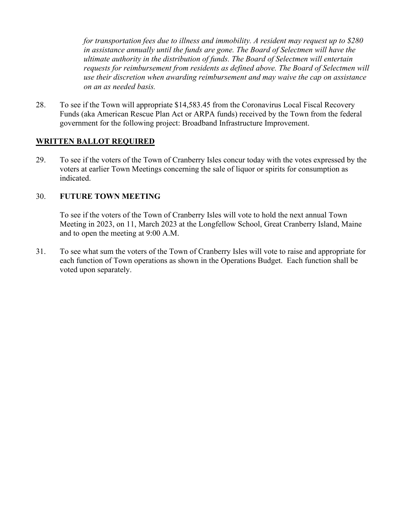*for transportation fees due to illness and immobility. A resident may request up to \$280 in assistance annually until the funds are gone. The Board of Selectmen will have the ultimate authority in the distribution of funds. The Board of Selectmen will entertain requests for reimbursement from residents as defined above. The Board of Selectmen will use their discretion when awarding reimbursement and may waive the cap on assistance on an as needed basis.* 

28. To see if the Town will appropriate \$14,583.45 from the Coronavirus Local Fiscal Recovery Funds (aka American Rescue Plan Act or ARPA funds) received by the Town from the federal government for the following project: Broadband Infrastructure Improvement.

### **WRITTEN BALLOT REQUIRED**

29. To see if the voters of the Town of Cranberry Isles concur today with the votes expressed by the voters at earlier Town Meetings concerning the sale of liquor or spirits for consumption as indicated.

### 30. **FUTURE TOWN MEETING**

To see if the voters of the Town of Cranberry Isles will vote to hold the next annual Town Meeting in 2023, on 11, March 2023 at the Longfellow School, Great Cranberry Island, Maine and to open the meeting at 9:00 A.M.

31. To see what sum the voters of the Town of Cranberry Isles will vote to raise and appropriate for each function of Town operations as shown in the Operations Budget. Each function shall be voted upon separately.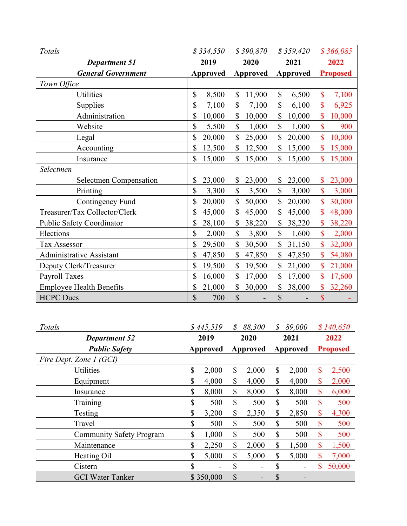| Totals                          | \$334,550 | \$390,870    | \$359,420    | \$366,085       |
|---------------------------------|-----------|--------------|--------------|-----------------|
| <b>Department 51</b>            | 2019      | 2020         | 2021         | 2022            |
| <b>General Government</b>       | Approved  | Approved     | Approved     | <b>Proposed</b> |
| Town Office                     |           |              |              |                 |
| <b>Utilities</b>                | \$        | $\mathbb{S}$ | \$           | \$              |
|                                 | 8,500     | 11,900       | 6,500        | 7,100           |
| Supplies                        | \$        | \$           | \$           | \$              |
|                                 | 7,100     | 7,100        | 6,100        | 6,925           |
| Administration                  | \$        | $\mathbb{S}$ | $\mathbb{S}$ | \$              |
|                                 | 10,000    | 10,000       | 10,000       | 10,000          |
| Website                         | \$        | \$           | \$           | \$              |
|                                 | 5,500     | 1,000        | 1,000        | 900             |
| Legal                           | \$        | \$           | \$           | \$              |
|                                 | 20,000    | 25,000       | 20,000       | 10,000          |
| Accounting                      | \$        | \$           | \$           | \$              |
|                                 | 12,500    | 12,500       | 15,000       | 15,000          |
| Insurance                       | \$        | \$           | \$           | \$              |
|                                 | 15,000    | 15,000       | 15,000       | 15,000          |
| Selectmen                       |           |              |              |                 |
| <b>Selectmen Compensation</b>   | \$        | \$           | \$           | $\mathbf{\$}$   |
|                                 | 23,000    | 23,000       | 23,000       | 23,000          |
| Printing                        | \$        | $\mathbb{S}$ | $\mathbb{S}$ | $\mathbf{\$}$   |
|                                 | 3,300     | 3,500        | 3,000        | 3,000           |
| Contingency Fund                | \$        | \$           | \$           | \$              |
|                                 | 20,000    | 50,000       | 20,000       | 30,000          |
| Treasurer/Tax Collector/Clerk   | \$        | \$           | \$           | \$              |
|                                 | 45,000    | 45,000       | 45,000       | 48,000          |
| Public Safety Coordinator       | \$        | \$           | \$           | \$              |
|                                 | 28,100    | 38,220       | 38,220       | 38,220          |
| Elections                       | \$        | $\mathbb{S}$ | \$           | \$              |
|                                 | 2,000     | 3,800        | 1,600        | 2,000           |
| <b>Tax Assessor</b>             | \$        | \$           | \$           | \$              |
|                                 | 29,500    | 30,500       | 31,150       | 32,000          |
| <b>Administrative Assistant</b> | \$        | \$           | \$           | \$              |
|                                 | 47,850    | 47,850       | 47,850       | 54,080          |
| Deputy Clerk/Treasurer          | \$        | \$           | \$           | \$              |
|                                 | 19,500    | 19,500       | 21,000       | 21,000          |
| <b>Payroll Taxes</b>            | \$        | \$           | \$           | \$              |
|                                 | 16,000    | 17,000       | 17,000       | 17,600          |
| <b>Employee Health Benefits</b> | \$        | $\mathbb{S}$ | \$           | \$              |
|                                 | 21,000    | 30,000       | 38,000       | 32,260          |
| <b>HCPC</b> Dues                | \$<br>700 | \$           | \$           | $\sqrt{\ }$     |

| Totals                          |              | \$445,519 | \$       | 88,300 | \$       | 89,000 | \$140,650       |
|---------------------------------|--------------|-----------|----------|--------|----------|--------|-----------------|
| <b>Department 52</b>            | 2019         |           | 2020     |        | 2021     |        | 2022            |
| <b>Public Safety</b>            | Approved     |           | Approved |        | Approved |        | <b>Proposed</b> |
| Fire Dept. Zone 1 (GCI)         |              |           |          |        |          |        |                 |
| <b>Utilities</b>                | \$           | 2,000     | \$       | 2,000  | \$       | 2,000  | \$<br>2,500     |
| Equipment                       | \$           | 4,000     | \$       | 4,000  | \$       | 4,000  | \$<br>2,000     |
| Insurance                       | \$           | 8,000     | \$       | 8,000  | \$       | 8,000  | \$<br>6,000     |
| Training                        | \$           | 500       | \$       | 500    | \$       | 500    | \$<br>500       |
| Testing                         | \$           | 3,200     | \$       | 2,350  | \$       | 2,850  | \$<br>4,300     |
| Travel                          | \$           | 500       | \$       | 500    | \$       | 500    | \$<br>500       |
| <b>Community Safety Program</b> | \$           | 1,000     | \$       | 500    | \$       | 500    | \$<br>500       |
| Maintenance                     | $\mathbb{S}$ | 2,250     | \$       | 2,000  | \$       | 1,500  | \$<br>1,500     |
| Heating Oil                     | \$           | 5,000     | \$       | 5,000  | \$       | 5,000  | \$<br>7,000     |
| Cistern                         | \$           |           | \$       |        | \$       |        | \$<br>50,000    |
| <b>GCI</b> Water Tanker         |              | \$350,000 | \$       |        | \$       |        |                 |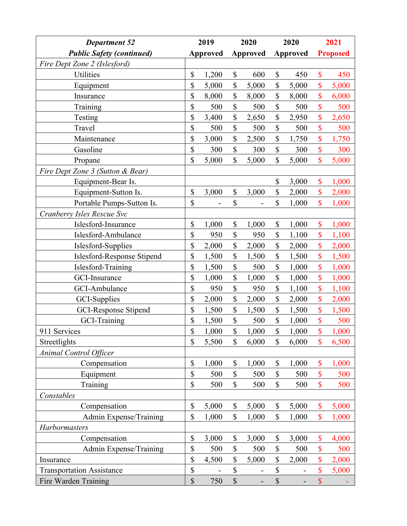| <b>Department 52</b>             | 2019 |                 | 2020                      |          | 2020                      |                 | 2021                      |                 |
|----------------------------------|------|-----------------|---------------------------|----------|---------------------------|-----------------|---------------------------|-----------------|
| <b>Public Safety (continued)</b> |      | <b>Approved</b> |                           | Approved |                           | <b>Approved</b> |                           | <b>Proposed</b> |
| Fire Dept Zone 2 (Islesford)     |      |                 |                           |          |                           |                 |                           |                 |
| Utilities                        | \$   | 1,200           | \$                        | 600      | \$                        | 450             | $\mathbf{\$}$             | 450             |
| Equipment                        | \$   | 5,000           | \$                        | 5,000    | \$                        | 5,000           | $\boldsymbol{\mathsf{S}}$ | 5,000           |
| Insurance                        | \$   | 8,000           | \$                        | 8,000    | \$                        | 8,000           | \$                        | 6,000           |
| Training                         | \$   | 500             | \$                        | 500      | \$                        | 500             | \$                        | 500             |
| Testing                          | \$   | 3,400           | \$                        | 2,650    | \$                        | 2,950           | \$                        | 2,650           |
| Travel                           | \$   | 500             | \$                        | 500      | \$                        | 500             | \$                        | 500             |
| Maintenance                      | \$   | 3,000           | \$                        | 2,500    | \$                        | 1,750           | \$                        | 1,750           |
| Gasoline                         | \$   | 300             | \$                        | 300      | \$                        | 300             | $\mathbf{\$\}$            | 300             |
| Propane                          | \$   | 5,000           | \$                        | 5,000    | \$                        | 5,000           | \$                        | 5,000           |
| Fire Dept Zone 3 (Sutton & Bear) |      |                 |                           |          |                           |                 |                           |                 |
| Equipment-Bear Is.               |      |                 |                           |          | \$                        | 3,000           | $\boldsymbol{\mathsf{S}}$ | 1,000           |
| Equipment-Sutton Is.             | \$   | 3,000           | \$                        | 3,000    | \$                        | 2,000           | \$                        | 2,000           |
| Portable Pumps-Sutton Is.        | \$   |                 | \$                        |          | \$                        | 1,000           | \$                        | 1,000           |
| Cranberry Isles Rescue Svc       |      |                 |                           |          |                           |                 |                           |                 |
| Islesford-Insurance              | \$   | 1,000           | \$                        | 1,000    | \$                        | 1,000           | \$                        | 1,000           |
| Islesford-Ambulance              | \$   | 950             | $\boldsymbol{\mathsf{S}}$ | 950      | \$                        | 1,100           | $\boldsymbol{\mathsf{S}}$ | 1,100           |
| Islesford-Supplies               | \$   | 2,000           | \$                        | 2,000    | \$                        | 2,000           | \$                        | 2,000           |
| Islesford-Response Stipend       | \$   | 1,500           | \$                        | 1,500    | \$                        | 1,500           | \$                        | 1,500           |
| Islesford-Training               | \$   | 1,500           | \$                        | 500      | \$                        | 1,000           | \$                        | 1,000           |
| <b>GCI-Insurance</b>             | \$   | 1,000           | \$                        | 1,000    | \$                        | 1,000           | \$                        | 1,000           |
| GCI-Ambulance                    | \$   | 950             | \$                        | 950      | \$                        | 1,100           | \$                        | 1,100           |
| GCI-Supplies                     | \$   | 2,000           | \$                        | 2,000    | \$                        | 2,000           | \$                        | 2,000           |
| GCI-Response Stipend             | \$   | 1,500           | \$                        | 1,500    | \$                        | 1,500           | \$                        | 1,500           |
| <b>GCI-Training</b>              | \$   | 1,500           | \$                        | 500      | \$                        | 1,000           | \$                        | 500             |
| 911 Services                     | \$   | 1,000           | \$                        | 1,000    | \$                        | 1,000           | \$                        | 1,000           |
| Streetlights                     | \$   | 5,500           | \$                        | 6,000    | $\mathbb{S}$              | 6,000           | \$                        | 6,500           |
| Animal Control Officer           |      |                 |                           |          |                           |                 |                           |                 |
| Compensation                     | \$   | 1,000           | $\$$                      | 1,000    | $\$$                      | 1,000           | $\boldsymbol{\mathsf{S}}$ | 1,000           |
| Equipment                        | \$   | 500             | \$                        | 500      | \$                        | 500             | $\boldsymbol{\mathsf{S}}$ | 500             |
| Training                         | \$   | 500             | \$                        | 500      | \$                        | 500             | \$                        | 500             |
| Constables                       |      |                 |                           |          |                           |                 |                           |                 |
| Compensation                     | \$   | 5,000           | \$                        | 5,000    | \$                        | 5,000           | $\boldsymbol{\mathsf{S}}$ | 5,000           |
| Admin Expense/Training           | \$   | 1,000           | $\mathbb{S}$              | 1,000    | \$                        | 1,000           | $\mathbf{\$}$             | 1,000           |
| Harbormasters                    |      |                 |                           |          |                           |                 |                           |                 |
| Compensation                     | \$   | 3,000           | \$                        | 3,000    | \$                        | 3,000           | \$                        | 4,000           |
| Admin Expense/Training           | \$   | 500             | $\boldsymbol{\mathsf{S}}$ | 500      | \$                        | 500             | \$                        | 500             |
| Insurance                        | \$   | 4,500           | \$                        | 5,000    | \$                        | 2,000           | \$                        | 2,000           |
| <b>Transportation Assistance</b> | \$   |                 | $\boldsymbol{\mathsf{S}}$ |          | \$                        |                 | $\mathbf{\$}$             | 5,000           |
| Fire Warden Training             | \$   | 750             | $\mathcal{S}$             |          | $\boldsymbol{\mathsf{S}}$ |                 | $\mathbf{\$}$             |                 |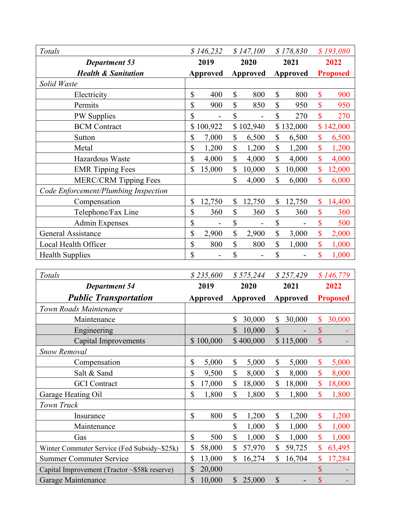| Totals                                       | \$146,232                 |                 | \$147,100                 |                 | \$178,830       |                 | \$193,080                 |                 |
|----------------------------------------------|---------------------------|-----------------|---------------------------|-----------------|-----------------|-----------------|---------------------------|-----------------|
| <b>Department 53</b>                         | 2019                      |                 | 2020                      |                 | 2021            |                 | 2022                      |                 |
| <b>Health &amp; Sanitation</b>               | <b>Approved</b>           |                 | <b>Approved</b>           |                 | <b>Approved</b> |                 | <b>Proposed</b>           |                 |
| Solid Waste                                  |                           |                 |                           |                 |                 |                 |                           |                 |
| Electricity                                  | \$                        | 400             | \$                        | 800             | \$              | 800             | \$                        | 900             |
| Permits                                      | \$                        | 900             | \$                        | 850             | \$              | 950             | \$                        | 950             |
| <b>PW</b> Supplies                           | \$                        | $\overline{a}$  | \$                        |                 | \$              | 270             | \$                        | 270             |
| <b>BCM</b> Contract                          |                           | \$100,922       |                           | \$102,940       |                 | \$132,000       |                           | \$142,000       |
| Sutton                                       | \$                        | 7,000           | \$                        | 6,500           | \$              | 6,500           | \$                        | 6,500           |
| Metal                                        | \$                        | 1,200           | \$                        | 1,200           | \$              | 1,200           | \$                        | 1,200           |
| Hazardous Waste                              | \$                        | 4,000           | \$                        | 4,000           | \$              | 4,000           | \$                        | 4,000           |
| <b>EMR</b> Tipping Fees                      | \$                        | 15,000          | \$                        | 10,000          | \$              | 10,000          | \$                        | 12,000          |
| MERC/CRM Tipping Fees                        |                           |                 | \$                        | 4,000           | \$              | 6,000           | \$                        | 6,000           |
| Code Enforcement/Plumbing Inspection         |                           |                 |                           |                 |                 |                 |                           |                 |
| Compensation                                 | \$                        | 12,750          | \$                        | 12,750          | \$              | 12,750          | \$                        | 14,400          |
| Telephone/Fax Line                           | \$                        | 360             | \$                        | 360             | \$              | 360             | \$                        | 360             |
| <b>Admin Expenses</b>                        | \$                        |                 | \$                        |                 | \$              |                 | \$                        | 500             |
| <b>General Assistance</b>                    | \$                        | 2,900           | \$                        | 2,900           | \$              | 3,000           | \$                        | 2,000           |
| Local Health Officer                         | \$                        | 800             | $\boldsymbol{\mathsf{S}}$ | 800             | \$              | 1,000           | \$                        | 1,000           |
| <b>Health Supplies</b>                       | \$                        |                 | \$                        |                 | \$              |                 | \$                        | 1,000           |
|                                              |                           |                 |                           |                 |                 |                 |                           |                 |
|                                              |                           |                 |                           |                 |                 |                 |                           |                 |
| Totals                                       |                           | \$235,600       |                           | \$575,244       |                 | \$257,429       |                           | \$146,779       |
| <b>Department 54</b>                         |                           | 2019            |                           | 2020            |                 | 2021            |                           | 2022            |
| <b>Public Transportation</b>                 |                           | <b>Approved</b> |                           | <b>Approved</b> |                 | <b>Approved</b> |                           | <b>Proposed</b> |
| Town Roads Maintenance                       |                           |                 |                           |                 |                 |                 |                           |                 |
| Maintenance                                  |                           |                 | \$                        | 30,000          | \$              | 30,000          | \$                        | 30,000          |
| Engineering                                  |                           |                 | $\mathcal{S}$             | 10,000          | \$              |                 | $\boldsymbol{\mathsf{S}}$ |                 |
| Capital Improvements                         |                           | \$100,000       |                           | \$400,000       |                 | \$115,000       | \$                        |                 |
| Snow Removal                                 |                           |                 |                           |                 |                 |                 |                           |                 |
| Compensation                                 | $\boldsymbol{\mathsf{S}}$ | 5,000           | \$                        | 5,000           | \$              | 5,000           | \$                        | 5,000           |
| Salt & Sand                                  | \$                        | 9,500           | \$                        | 8,000           | \$              | 8,000           | \$                        | 8,000           |
| <b>GCI</b> Contract                          | \$                        | 17,000          | \$                        | 18,000          | \$              | 18,000          | \$                        | 18,000          |
| Garage Heating Oil                           | \$                        | 1,800           | \$                        | 1,800           | \$              | 1,800           | \$                        | 1,800           |
| Town Truck                                   |                           |                 |                           |                 |                 |                 |                           |                 |
| Insurance                                    | \$                        | 800             | \$                        | 1,200           | \$              | 1,200           | \$                        | 1,200           |
| Maintenance                                  |                           |                 | \$                        | 1,000           | \$              | 1,000           | \$                        | 1,000           |
| Gas                                          | \$                        | 500             | \$                        | 1,000           | \$              | 1,000           | $\mathbf{\$}$             | 1,000           |
| Winter Commuter Service (Fed Subsidy~\$25k)  | \$                        | 58,000          | \$                        | 57,970          | \$              | 59,725          | \$                        | 63,495          |
| <b>Summer Commuter Service</b>               | \$                        | 13,000          | \$                        | 16,274          | $\mathbb{S}$    | 16,704          | $\boldsymbol{\mathsf{S}}$ | 17,284          |
| Capital Improvement (Tractor ~\$58k reserve) | \$                        | 20,000          |                           |                 |                 |                 | $\boldsymbol{\$}$         |                 |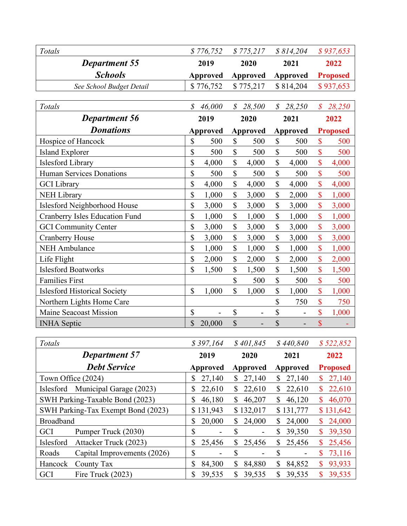| Totals                                | \$776,752               | \$775,217                                 | \$814,204               | \$937,653                  |
|---------------------------------------|-------------------------|-------------------------------------------|-------------------------|----------------------------|
| <b>Department 55</b>                  | 2019                    | 2020                                      | 2021                    | 2022                       |
| <b>Schools</b>                        | <b>Approved</b>         | <b>Approved</b>                           | <b>Approved</b>         | <b>Proposed</b>            |
| See School Budget Detail              | \$776,752               | \$775,217                                 | \$814,204               | \$937,653                  |
|                                       |                         |                                           |                         |                            |
| Totals                                | $\mathcal{S}$           | $\mathcal{S}$                             | $\mathcal S$            | $\boldsymbol{\mathcal{S}}$ |
|                                       | 46,000                  | 28,500                                    | 28,250                  | 28,250                     |
| <b>Department 56</b>                  | 2019                    | 2020                                      | 2021                    | 2022                       |
| <b>Donations</b>                      | <b>Approved</b>         | <b>Approved</b>                           | <b>Approved</b>         | <b>Proposed</b>            |
| Hospice of Hancock                    | \$                      | \$                                        | $\$$                    | \$                         |
|                                       | 500                     | 500                                       | 500                     | 500                        |
| <b>Island Explorer</b>                | \$                      | \$                                        | \$                      | \$                         |
|                                       | 500                     | 500                                       | 500                     | 500                        |
| <b>Islesford Library</b>              | \$                      | \$                                        | \$                      | \$                         |
|                                       | 4,000                   | 4,000                                     | 4,000                   | 4,000                      |
| Human Services Donations              | \$                      | \$                                        | \$                      | \$                         |
|                                       | 500                     | 500                                       | 500                     | 500                        |
| <b>GCI</b> Library                    | \$                      | \$                                        | \$                      | \$                         |
|                                       | 4,000                   | 4,000                                     | 4,000                   | 4,000                      |
| <b>NEH Library</b>                    | \$                      | \$                                        | \$                      | \$                         |
|                                       | 1,000                   | 3,000                                     | 2,000                   | 1,000                      |
| Islesford Neighborhood House          | \$                      | \$                                        | \$                      | \$                         |
|                                       | 3,000                   | 3,000                                     | 3,000                   | 3,000                      |
| <b>Cranberry Isles Education Fund</b> | \$                      | \$                                        | \$                      | \$                         |
|                                       | 1,000                   | 1,000                                     | 1,000                   | 1,000                      |
| <b>GCI Community Center</b>           | \$                      | \$                                        | \$                      | \$                         |
|                                       | 3,000                   | 3,000                                     | 3,000                   | 3,000                      |
| <b>Cranberry House</b>                | \$                      | \$                                        | \$                      | \$                         |
|                                       | 3,000                   | 3,000                                     | 3,000                   | 3,000                      |
| <b>NEH Ambulance</b>                  | \$                      | \$                                        | \$                      | \$                         |
|                                       | 1,000                   | 1,000                                     | 1,000                   | 1,000                      |
| Life Flight                           | \$                      | \$                                        | \$                      | \$                         |
|                                       | 2,000                   | 2,000                                     | 2,000                   | 2,000                      |
| <b>Islesford Boatworks</b>            | \$                      | \$                                        | \$                      | \$                         |
|                                       | 1,500                   | 1,500                                     | 1,500                   | 1,500                      |
| <b>Families First</b>                 |                         | \$<br>500                                 | \$<br>500               | \$<br>500                  |
| <b>Islesford Historical Society</b>   | \$                      | \$                                        | \$                      | \$                         |
|                                       | 1,000                   | 1,000                                     | 1,000                   | 1,000                      |
| Northern Lights Home Care             |                         |                                           | \$<br>750               | \$<br>750                  |
| <b>Maine Seacoast Mission</b>         | \$                      | \$<br>$\overline{a}$                      | \$                      | \$<br>1,000                |
| <b>INHA</b> Septic                    | $\mathcal{S}$<br>20,000 | $\mathsf{\$}$<br>$\overline{\phantom{a}}$ | \$<br>$\qquad \qquad -$ | $\overline{\mathbb{S}}$    |
|                                       |                         |                                           |                         |                            |
| Totals                                | \$397,164               | \$401,845                                 | \$440,840               | \$522,852                  |
| <b>Department 57</b>                  | 2019                    | 2020                                      | 2021                    | 2022                       |
| <b>Debt Service</b>                   | <b>Approved</b>         | <b>Approved</b>                           | <b>Approved</b>         | <b>Proposed</b>            |
| Town Office (2024)                    | $\mathbb{S}$            | \$                                        | $\mathbb{S}$            | $\mathbb{S}$               |
|                                       | 27,140                  | 27,140                                    | 27,140                  | 27,140                     |
| Islesford                             | $\mathbb{S}$            | $\mathbb{S}$                              | $\mathbb{S}^-$          | $\mathbb{S}$               |
| Municipal Garage (2023)               | 22,610                  | 22,610                                    | 22,610                  | 22,610                     |

SWH Parking-Taxable Bond (2023) <br> \$ 46,180 \$ 46,207 \$ 46,120 \$ 46,070 SWH Parking-Tax Exempt Bond (2023) \$ 131,943 \$ 132,017 \$ 131,777 \$ 131,642 Broadband <br>  $\begin{array}{|ccc} \hline \text{8} & 20,000 & \text{$} & 24,000 & \text{$} & 24,000 & \text{$} & 24,000 \end{array}$ GCI Pumper Truck (2030) \$ - \$ - \$ 39,350 \$ 39,350 Islesford Attacker Truck (2023) <br> 8 25,456 \$ 25,456 \$ 25,456 \$ 25,456 Roads Capital Improvements (2026) \$ - \$ - \$ - \$ 73,116 Hancock County Tax \$ 84,300 \$ 84,880 \$ 84,852 \$ 93,933 GCI Fire Truck (2023) 8 39,535 \$ 39,535 \$ 39,535 \$ 39,535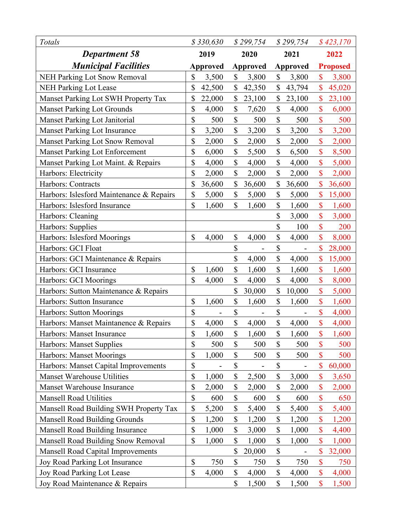| Totals                                   | \$330,630       |        | \$299,754 |          | \$299,754    |          |                           | \$423,170 |
|------------------------------------------|-----------------|--------|-----------|----------|--------------|----------|---------------------------|-----------|
| <b>Department 58</b>                     | 2019            |        | 2020      |          | 2021         |          | 2022                      |           |
| <b>Municipal Facilities</b>              | <b>Approved</b> |        |           | Approved |              | Approved | <b>Proposed</b>           |           |
| <b>NEH Parking Lot Snow Removal</b>      | \$              | 3,500  | \$        | 3,800    | $\mathbb{S}$ | 3,800    | \$                        | 3,800     |
| <b>NEH Parking Lot Lease</b>             | \$              | 42,500 | \$        | 42,350   | \$           | 43,794   | \$                        | 45,020    |
| Manset Parking Lot SWH Property Tax      | \$              | 22,000 | \$        | 23,100   | \$           | 23,100   | $\mathsf{\$}$             | 23,100    |
| <b>Manset Parking Lot Grounds</b>        | \$              | 4,000  | \$        | 7,620    | \$           | 4,000    | \$                        | 6,000     |
| Manset Parking Lot Janitorial            | \$              | 500    | \$        | 500      | \$           | 500      | \$                        | 500       |
| <b>Manset Parking Lot Insurance</b>      | \$              | 3,200  | \$        | 3,200    | \$           | 3,200    | \$                        | 3,200     |
| Manset Parking Lot Snow Removal          | \$              | 2,000  | \$        | 2,000    | \$           | 2,000    | \$                        | 2,000     |
| <b>Manset Parking Lot Enforcement</b>    | \$              | 6,000  | \$        | 5,500    | \$           | 6,500    | \$                        | 8,500     |
| Manset Parking Lot Maint. & Repairs      | \$              | 4,000  | \$        | 4,000    | \$           | 4,000    | \$                        | 5,000     |
| Harbors: Electricity                     | \$              | 2,000  | \$        | 2,000    | $\mathbb{S}$ | 2,000    | $\boldsymbol{\mathsf{S}}$ | 2,000     |
| Harbors: Contracts                       | \$              | 36,600 | \$        | 36,600   | \$           | 36,600   | \$                        | 36,600    |
| Harbors: Islesford Maintenance & Repairs | \$              | 5,000  | \$        | 5,000    | \$           | 5,000    | \$                        | 15,000    |
| Harbors: Islesford Insurance             | \$              | 1,600  | \$        | 1,600    | \$           | 1,600    | $\boldsymbol{\mathsf{S}}$ | 1,600     |
| Harbors: Cleaning                        |                 |        |           |          | \$           | 3,000    | \$                        | 3,000     |
| Harbors: Supplies                        |                 |        |           |          | \$           | 100      | \$                        | 200       |
| Harbors: Islesford Moorings              | $\mathbb{S}$    | 4,000  | \$        | 4,000    | \$           | 4,000    | \$                        | 8,000     |
| Harbors: GCI Float                       |                 |        | \$        |          | \$           |          | \$                        | 28,000    |
| Harbors: GCI Maintenance & Repairs       |                 |        | \$        | 4,000    | \$           | 4,000    | \$                        | 15,000    |
| Harbors: GCI Insurance                   | \$              | 1,600  | \$        | 1,600    | \$           | 1,600    | \$                        | 1,600     |
| Harbors: GCI Moorings                    | \$              | 4,000  | \$        | 4,000    | \$           | 4,000    | \$                        | 8,000     |
| Harbors: Sutton Maintenance & Repairs    |                 |        | \$        | 30,000   | \$           | 10,000   | \$                        | 5,000     |
| Harbors: Sutton Insurance                | \$              | 1,600  | \$        | 1,600    | \$           | 1,600    | \$                        | 1,600     |
| Harbors: Sutton Moorings                 | \$              |        | \$        |          | \$           |          | \$                        | 4,000     |
| Harbors: Manset Maintanence & Repairs    | \$              | 4,000  | \$        | 4,000    | \$           | 4,000    | \$                        | 4,000     |
| Harbors: Manset Insurance                | \$              | 1,600  | \$        | 1,600    | \$           | 1,600    | $\boldsymbol{\mathsf{S}}$ | 1,600     |
| Harbors: Manset Supplies                 | \$              | 500    | \$        | 500      | \$           | 500      | $\mathsf{\$}$             | 500       |
| Harbors: Manset Moorings                 | \$              | 1,000  | \$        | 500      | \$           | 500      | \$                        | 500       |
| Harbors: Manset Capital Improvements     | \$              |        | \$        |          | \$           |          | \$                        | 60,000    |
| <b>Manset Warehouse Utilities</b>        | \$              | 1,000  | \$        | 2,500    | \$           | 3,000    | $\mathsf{\$}$             | 3,650     |
| Manset Warehouse Insurance               | \$              | 2,000  | \$        | 2,000    | \$           | 2,000    | \$                        | 2,000     |
| <b>Mansell Road Utilities</b>            | \$              | 600    | \$        | 600      | \$           | 600      | \$                        | 650       |
| Mansell Road Building SWH Property Tax   | \$              | 5,200  | \$        | 5,400    | \$           | 5,400    | \$                        | 5,400     |
| <b>Mansell Road Building Grounds</b>     | \$              | 1,200  | \$        | 1,200    | \$           | 1,200    | \$                        | 1,200     |
| Mansell Road Building Insurance          | \$              | 1,000  | \$        | 3,000    | \$           | 1,000    | \$                        | 4,400     |
| Mansell Road Building Snow Removal       | \$              | 1,000  | \$        | 1,000    | \$           | 1,000    | \$                        | 1,000     |
| <b>Mansell Road Capital Improvements</b> |                 |        | \$        | 20,000   | \$           |          | \$                        | 32,000    |
| Joy Road Parking Lot Insurance           | \$              | 750    | \$        | 750      | \$           | 750      | \$                        | 750       |
| Joy Road Parking Lot Lease               | \$              | 4,000  | \$        | 4,000    | \$           | 4,000    | $\boldsymbol{\mathsf{S}}$ | 4,000     |
| Joy Road Maintenance & Repairs           |                 |        | \$        | 1,500    | \$           | 1,500    | \$                        | 1,500     |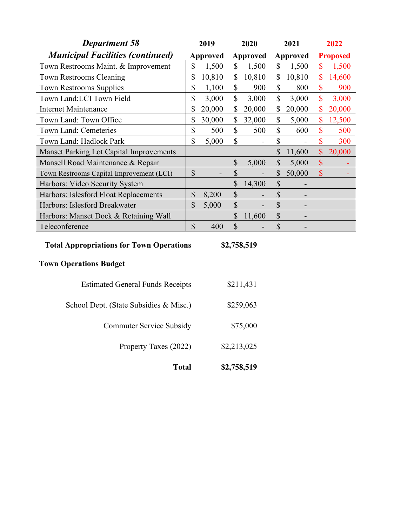| <b>Department 58</b>                                                                            | 2019                      |          | 2020                      |                 | 2021                      |          | 2022                      |                 |  |
|-------------------------------------------------------------------------------------------------|---------------------------|----------|---------------------------|-----------------|---------------------------|----------|---------------------------|-----------------|--|
| <b>Municipal Facilities (continued)</b>                                                         |                           | Approved |                           | <b>Approved</b> |                           | Approved |                           | <b>Proposed</b> |  |
| Town Restrooms Maint. & Improvement                                                             | \$                        | 1,500    | \$                        | 1,500           | $\mathbb{S}$              | 1,500    | $\boldsymbol{\mathsf{S}}$ | 1,500           |  |
| <b>Town Restrooms Cleaning</b>                                                                  | \$                        | 10,810   | $\mathbb{S}$              | 10,810          | $\mathbb{S}$              | 10,810   | $\mathbf{\$}$             | 14,600          |  |
| <b>Town Restrooms Supplies</b>                                                                  | \$                        | 1,100    | \$                        | 900             | \$                        | 800      | \$                        | 900             |  |
| Town Land:LCI Town Field                                                                        | \$                        | 3,000    | $\mathbb{S}$              | 3,000           | $\mathbb{S}$              | 3,000    | $\mathbf{\$\}$            | 3,000           |  |
| <b>Internet Maintenance</b>                                                                     | \$                        | 20,000   | \$                        | 20,000          | $\mathbb{S}$              | 20,000   | $\mathbf{\$}$             | 20,000          |  |
| Town Land: Town Office                                                                          | \$                        | 30,000   | \$                        | 32,000          | $\mathbb{S}$              | 5,000    | \$                        | 12,500          |  |
| Town Land: Cemeteries                                                                           | \$                        | 500      | $\boldsymbol{\mathsf{S}}$ | 500             | \$                        | 600      | $\boldsymbol{\mathsf{S}}$ | 500             |  |
| Town Land: Hadlock Park                                                                         | $\overline{\mathbb{S}}$   | 5,000    | $\mathbb{S}$              |                 | \$                        |          | $\overline{\mathbb{S}}$   | 300             |  |
| <b>Manset Parking Lot Capital Improvements</b>                                                  |                           |          |                           |                 | \$                        | 11,600   | $\boldsymbol{\mathsf{S}}$ | 20,000          |  |
| Mansell Road Maintenance & Repair                                                               |                           |          | $\boldsymbol{\mathsf{S}}$ | 5,000           | $\boldsymbol{\mathsf{S}}$ | 5,000    | $\mathsf{\$}$             |                 |  |
| Town Restrooms Capital Improvement (LCI)                                                        | $\boldsymbol{\mathsf{S}}$ |          | $\boldsymbol{\mathsf{S}}$ |                 | \$                        | 50,000   | $\mathcal{S}$             |                 |  |
| Harbors: Video Security System                                                                  |                           |          | $\mathcal{S}$             | 14,300          | $\mathcal{S}$             |          |                           |                 |  |
| Harbors: Islesford Float Replacements                                                           | \$                        | 8,200    | $\boldsymbol{\mathsf{S}}$ |                 | $\boldsymbol{\mathsf{S}}$ |          |                           |                 |  |
| Harbors: Islesford Breakwater                                                                   | \$                        | 5,000    | $\boldsymbol{\mathsf{S}}$ |                 | \$                        |          |                           |                 |  |
| Harbors: Manset Dock & Retaining Wall                                                           |                           |          | $\mathcal{S}$             | 11,600          | $\mathcal{S}$             |          |                           |                 |  |
| Teleconference                                                                                  | $\mathcal{S}$             | 400      | $\mathbb{S}$              |                 | $\boldsymbol{\mathsf{S}}$ |          |                           |                 |  |
| <b>Total Appropriations for Town Operations</b><br>\$2,758,519<br><b>Town Operations Budget</b> |                           |          |                           |                 |                           |          |                           |                 |  |
| <b>Estimated General Funds Receipts</b>                                                         |                           |          |                           | \$211,431       |                           |          |                           |                 |  |
| School Dept. (State Subsidies & Misc.)                                                          |                           |          |                           | \$259,063       |                           |          |                           |                 |  |
| <b>Commuter Service Subsidy</b>                                                                 |                           |          |                           | \$75,000        |                           |          |                           |                 |  |
| Property Taxes (2022)                                                                           |                           |          |                           | \$2,213,025     |                           |          |                           |                 |  |
| <b>Total</b>                                                                                    |                           |          |                           | \$2,758,519     |                           |          |                           |                 |  |